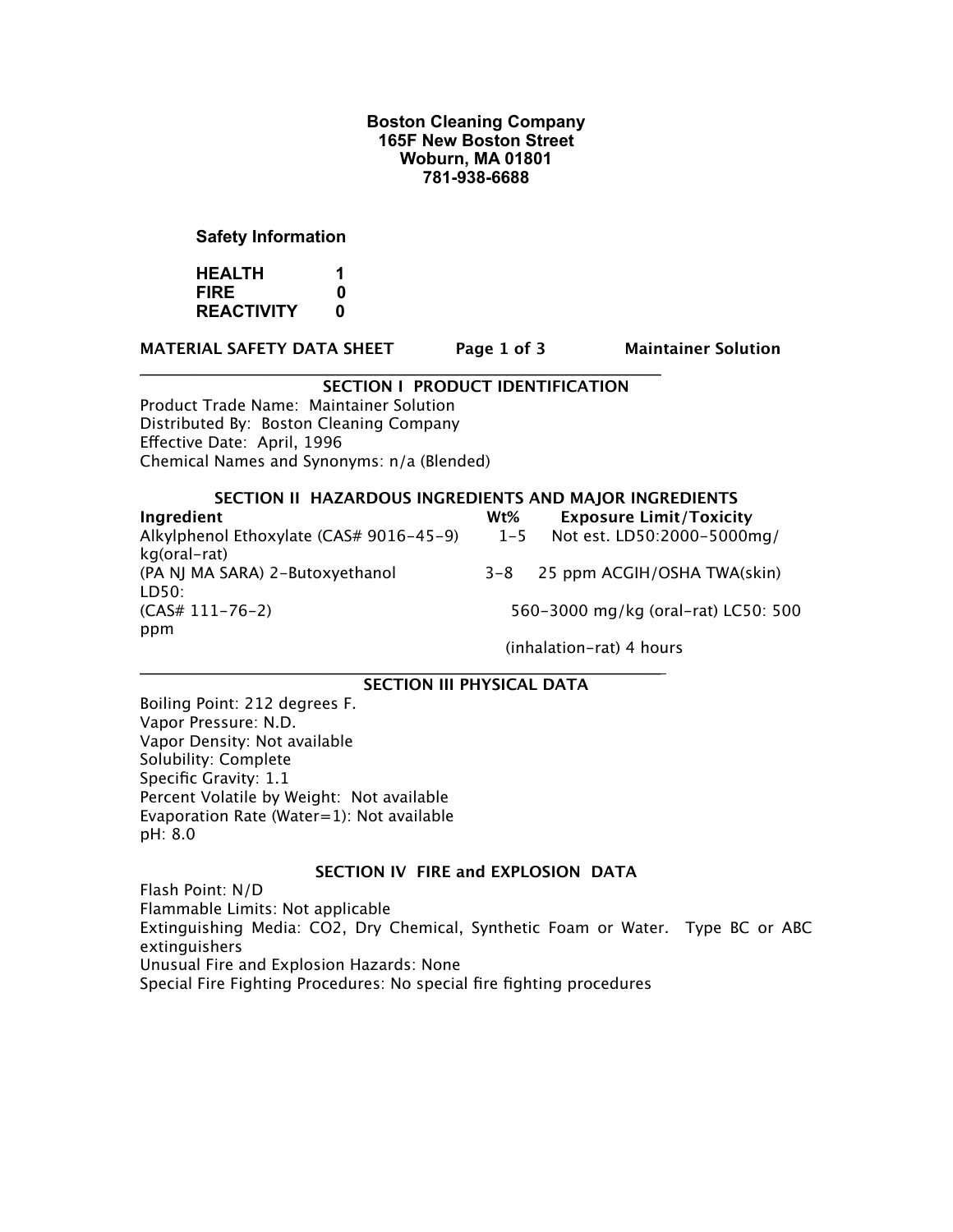## **Boston Cleaning Company 165F New Boston Street Woburn, MA 01801 781-938-6688**

## **Safety Information**

**HEALTH 1 FIRE 0 REACTIVITY 0**

**MATERIAL SAFETY DATA SHEET Page 1 of 3 Maintainer Solution**

## **SECTION I PRODUCT IDENTIFICATION**

**\_\_\_\_\_\_\_\_\_\_\_\_\_\_\_\_\_\_\_\_\_\_\_\_\_\_\_\_\_\_\_\_\_\_\_\_\_\_\_\_\_\_\_\_\_\_\_\_\_\_\_\_\_\_\_\_\_\_\_\_\_\_\_\_\_\_\_**

Product Trade Name: Maintainer Solution Distributed By: Boston Cleaning Company Effective Date: April, 1996 Chemical Names and Synonyms: n/a (Blended)

#### **SECTION II HAZARDOUS INGREDIENTS AND MAJOR INGREDIENTS**

**Ingredient
Wt% Exposure Limit/Toxicity**  Alkylphenol Ethoxylate (CAS# 9016-45-9) 1-5 Not est. LD50:2000-5000mg/ kg(oral-rat) (PA NJ MA SARA) 2-Butoxyethanol 3-8 25 ppm ACGIH/OSHA TWA(skin) LD50: (CAS# 111-76-2) 

 560-3000 mg/kg (oral-rat) LC50: 500 ppm 

 (inhalation-rat) 4 hours

#### **\_\_\_\_\_\_\_\_\_\_\_\_\_\_\_\_\_\_\_\_\_\_\_\_\_\_\_\_\_\_\_\_\_\_\_\_\_\_\_\_\_\_\_\_\_\_\_\_\_\_\_\_\_\_\_\_\_\_\_\_\_\_\_\_\_\_\_ SECTION III PHYSICAL DATA**

Boiling Point: 212 degrees F. Vapor Pressure: N.D. Vapor Density: Not available Solubility: Complete Specific Gravity: 1.1 Percent Volatile by Weight: Not available Evaporation Rate (Water=1): Not available pH: 8.0

## **SECTION IV FIRE and EXPLOSION DATA**

Flash Point: N/D Flammable Limits: Not applicable Extinguishing Media: CO2, Dry Chemical, Synthetic Foam or Water. Type BC or ABC extinguishers Unusual Fire and Explosion Hazards: None Special Fire Fighting Procedures: No special fire fighting procedures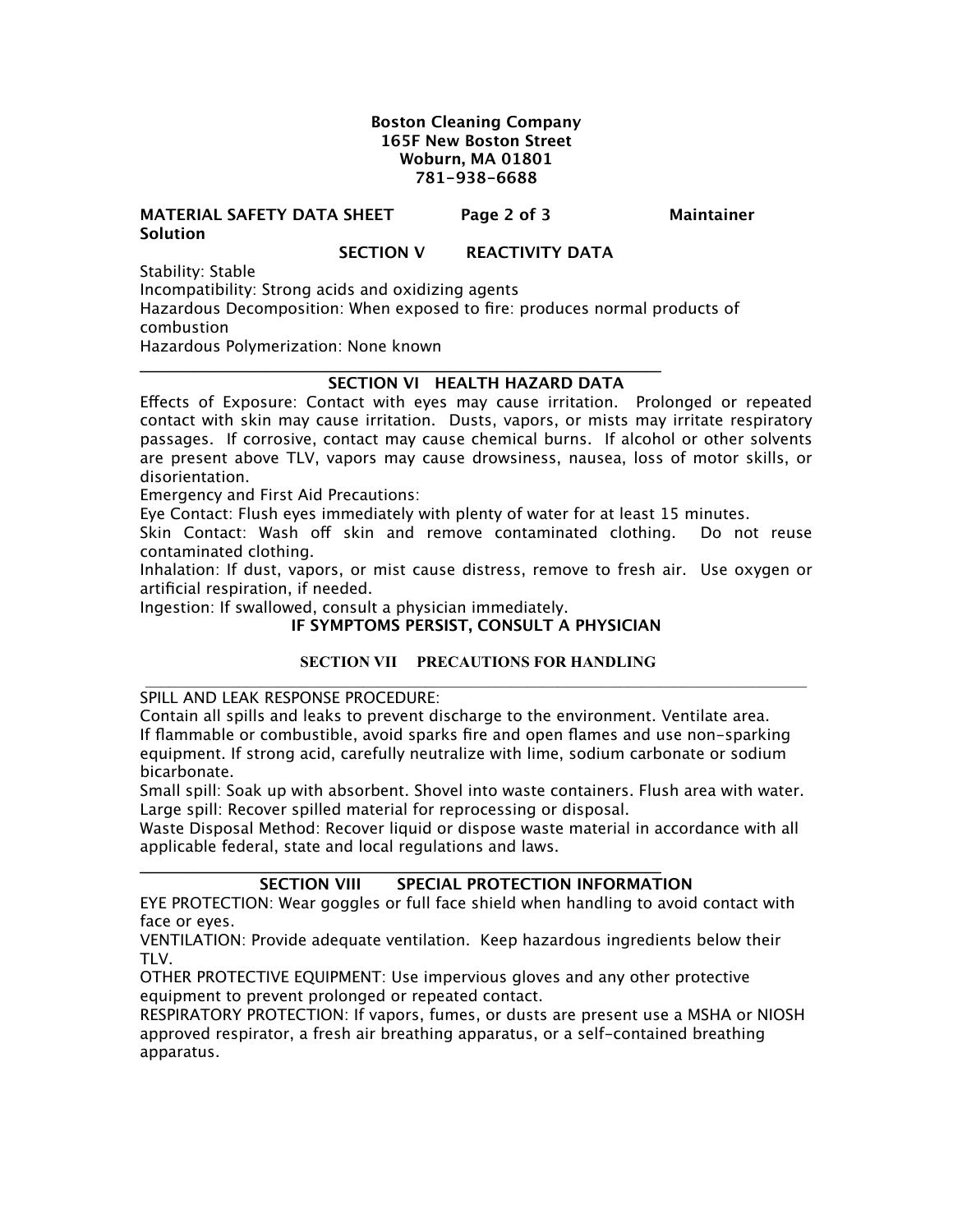## **Boston Cleaning Company 165F New Boston Street Woburn, MA 01801 781-938-6688**

### **MATERIAL SAFETY DATA SHEET** Page 2 of 3 Maintainer **Solution**

## **SECTION V REACTIVITY DATA**

Stability: Stable

Incompatibility: Strong acids and oxidizing agents Hazardous Decomposition: When exposed to fire: produces normal products of

combustion

Hazardous Polymerization: None known

#### **\_\_\_\_\_\_\_\_\_\_\_\_\_\_\_\_\_\_\_\_\_\_\_\_\_\_\_\_\_\_\_\_\_\_\_\_\_\_\_\_\_\_\_\_\_\_\_\_\_\_\_\_\_\_\_\_\_\_\_\_\_\_\_\_\_\_\_ SECTION VI HEALTH HAZARD DATA**

Effects of Exposure: Contact with eyes may cause irritation. Prolonged or repeated contact with skin may cause irritation. Dusts, vapors, or mists may irritate respiratory passages. If corrosive, contact may cause chemical burns. If alcohol or other solvents are present above TLV, vapors may cause drowsiness, nausea, loss of motor skills, or disorientation.

Emergency and First Aid Precautions:

Eye Contact: Flush eyes immediately with plenty of water for at least 15 minutes.

Skin Contact: Wash off skin and remove contaminated clothing. Do not reuse contaminated clothing.

Inhalation: If dust, vapors, or mist cause distress, remove to fresh air. Use oxygen or artificial respiration, if needed.

Ingestion: If swallowed, consult a physician immediately.

## **IF SYMPTOMS PERSIST, CONSULT A PHYSICIAN**

## **SECTION VII PRECAUTIONS FOR HANDLING**

SPILL AND LEAK RESPONSE PROCEDURE:

Contain all spills and leaks to prevent discharge to the environment. Ventilate area. If flammable or combustible, avoid sparks fire and open flames and use non-sparking equipment. If strong acid, carefully neutralize with lime, sodium carbonate or sodium bicarbonate.

Small spill: Soak up with absorbent. Shovel into waste containers. Flush area with water. Large spill: Recover spilled material for reprocessing or disposal.

Waste Disposal Method: Recover liquid or dispose waste material in accordance with all applicable federal, state and local regulations and laws.

## **SECTION VIII SPECIAL PROTECTION INFORMATION**

EYE PROTECTION: Wear goggles or full face shield when handling to avoid contact with face or eyes.

VENTILATION: Provide adequate ventilation. Keep hazardous ingredients below their TLV.

OTHER PROTECTIVE EQUIPMENT: Use impervious gloves and any other protective equipment to prevent prolonged or repeated contact.

**\_\_\_\_\_\_\_\_\_\_\_\_\_\_\_\_\_\_\_\_\_\_\_\_\_\_\_\_\_\_\_\_\_\_\_\_\_\_\_\_\_\_\_\_\_\_\_\_\_\_\_\_\_\_\_\_\_\_\_\_\_\_\_\_\_\_\_**

RESPIRATORY PROTECTION: If vapors, fumes, or dusts are present use a MSHA or NIOSH approved respirator, a fresh air breathing apparatus, or a self-contained breathing apparatus.